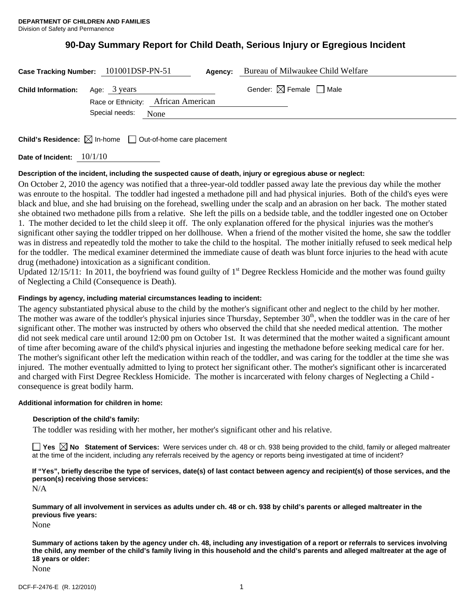# **90-Day Summary Report for Child Death, Serious Injury or Egregious Incident**

|                                                  | Case Tracking Number: 101001DSP-PN-51 | Agency: | Bureau of Milwaukee Child Welfare      |  |
|--------------------------------------------------|---------------------------------------|---------|----------------------------------------|--|
| <b>Child Information:</b> Age: $3 \text{ years}$ | Race or Ethnicity: African American   |         | Gender: $\boxtimes$ Female $\Box$ Male |  |
|                                                  | Special needs:<br>None                |         |                                        |  |
|                                                  |                                       |         |                                        |  |

**Child's Residence:**  $\boxtimes$  In-home  $\Box$  Out-of-home care placement

**Date of Incident:** 10/1/10

# **Description of the incident, including the suspected cause of death, injury or egregious abuse or neglect:**

On October 2, 2010 the agency was notified that a three-year-old toddler passed away late the previous day while the mother was enroute to the hospital. The toddler had ingested a methadone pill and had physical injuries. Both of the child's eyes were black and blue, and she had bruising on the forehead, swelling under the scalp and an abrasion on her back. The mother stated she obtained two methadone pills from a relative. She left the pills on a bedside table, and the toddler ingested one on October 1. The mother decided to let the child sleep it off. The only explanation offered for the physical injuries was the mother's significant other saying the toddler tripped on her dollhouse. When a friend of the mother visited the home, she saw the toddler was in distress and repeatedly told the mother to take the child to the hospital. The mother initially refused to seek medical help for the toddler. The medical examiner determined the immediate cause of death was blunt force injuries to the head with acute drug (methadone) intoxication as a significant condition.

Updated  $12/15/11$ : In 2011, the boyfriend was found guilty of 1<sup>st</sup> Degree Reckless Homicide and the mother was found guilty of Neglecting a Child (Consequence is Death).

## **Findings by agency, including material circumstances leading to incident:**

The agency substantiated physical abuse to the child by the mother's significant other and neglect to the child by her mother. The mother was aware of the toddler's physical injuries since Thursday, September 30<sup>th</sup>, when the toddler was in the care of her significant other. The mother was instructed by others who observed the child that she needed medical attention. The mother did not seek medical care until around 12:00 pm on October 1st. It was determined that the mother waited a significant amount of time after becoming aware of the child's physical injuries and ingesting the methadone before seeking medical care for her. The mother's significant other left the medication within reach of the toddler, and was caring for the toddler at the time she was injured. The mother eventually admitted to lying to protect her significant other. The mother's significant other is incarcerated and charged with First Degree Reckless Homicide. The mother is incarcerated with felony charges of Neglecting a Child consequence is great bodily harm.

#### **Additional information for children in home:**

#### **Description of the child's family:**

The toddler was residing with her mother, her mother's significant other and his relative.

**Yes No Statement of Services:** Were services under ch. 48 or ch. 938 being provided to the child, family or alleged maltreater at the time of the incident, including any referrals received by the agency or reports being investigated at time of incident?

**If "Yes", briefly describe the type of services, date(s) of last contact between agency and recipient(s) of those services, and the person(s) receiving those services:** 

N/A

**Summary of all involvement in services as adults under ch. 48 or ch. 938 by child's parents or alleged maltreater in the previous five years:** 

None

**Summary of actions taken by the agency under ch. 48, including any investigation of a report or referrals to services involving the child, any member of the child's family living in this household and the child's parents and alleged maltreater at the age of 18 years or older:** 

None